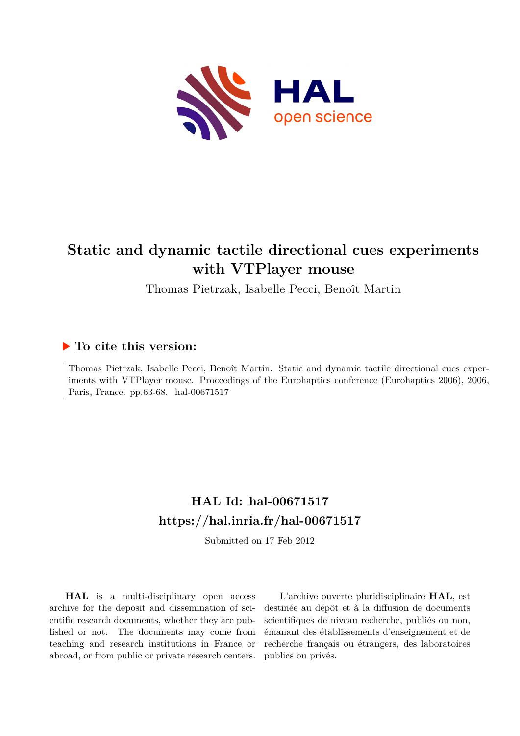

# **Static and dynamic tactile directional cues experiments with VTPlayer mouse**

Thomas Pietrzak, Isabelle Pecci, Benoît Martin

# **To cite this version:**

Thomas Pietrzak, Isabelle Pecci, Benoît Martin. Static and dynamic tactile directional cues experiments with VTPlayer mouse. Proceedings of the Eurohaptics conference (Eurohaptics 2006), 2006, Paris, France. pp.63-68. hal-00671517

# **HAL Id: hal-00671517 <https://hal.inria.fr/hal-00671517>**

Submitted on 17 Feb 2012

**HAL** is a multi-disciplinary open access archive for the deposit and dissemination of scientific research documents, whether they are published or not. The documents may come from teaching and research institutions in France or abroad, or from public or private research centers.

L'archive ouverte pluridisciplinaire **HAL**, est destinée au dépôt et à la diffusion de documents scientifiques de niveau recherche, publiés ou non, émanant des établissements d'enseignement et de recherche français ou étrangers, des laboratoires publics ou privés.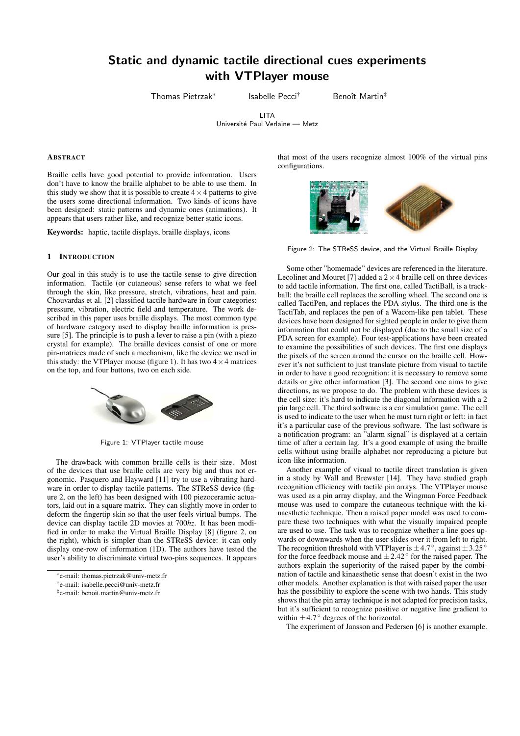# Static and dynamic tactile directional cues experiments with VTPlayer mouse

Thomas Pietrzak<sup>∗</sup>

Isabelle Pecci<sup>†</sup> Benoît Martin<sup>‡</sup>

LITA

Université Paul Verlaine — Metz

## ABSTRACT

Braille cells have good potential to provide information. Users don't have to know the braille alphabet to be able to use them. In this study we show that it is possible to create  $4 \times 4$  patterns to give the users some directional information. Two kinds of icons have been designed: static patterns and dynamic ones (animations). It appears that users rather like, and recognize better static icons.

Keywords: haptic, tactile displays, braille displays, icons

#### 1 INTRODUCTION

Our goal in this study is to use the tactile sense to give direction information. Tactile (or cutaneous) sense refers to what we feel through the skin, like pressure, stretch, vibrations, heat and pain. Chouvardas et al. [2] classified tactile hardware in four categories: pressure, vibration, electric field and temperature. The work described in this paper uses braille displays. The most common type of hardware category used to display braille information is pressure [5]. The principle is to push a lever to raise a pin (with a piezo crystal for example). The braille devices consist of one or more pin-matrices made of such a mechanism, like the device we used in this study: the VTPlayer mouse (figure 1). It has two  $4 \times 4$  matrices on the top, and four buttons, two on each side.



Figure 1: VTPlayer tactile mouse

The drawback with common braille cells is their size. Most of the devices that use braille cells are very big and thus not ergonomic. Pasquero and Hayward [11] try to use a vibrating hardware in order to display tactile patterns. The STReSS device (figure 2, on the left) has been designed with 100 piezoceramic actuators, laid out in a square matrix. They can slightly move in order to deform the fingertip skin so that the user feels virtual bumps. The device can display tactile 2D movies at 700*hz*. It has been modified in order to make the Virtual Braille Display [8] (figure 2, on the right), which is simpler than the STReSS device: it can only display one-row of information (1D). The authors have tested the user's ability to discriminate virtual two-pins sequences. It appears that most of the users recognize almost 100% of the virtual pins configurations.

Figure 2: The STReSS device, and the Virtual Braille Display

Some other "homemade" devices are referenced in the literature. Lecolinet and Mouret [7] added a  $2 \times 4$  braille cell on three devices to add tactile information. The first one, called TactiBall, is a trackball: the braille cell replaces the scrolling wheel. The second one is called TactiPen, and replaces the PDA stylus. The third one is the TactiTab, and replaces the pen of a Wacom-like pen tablet. These devices have been designed for sighted people in order to give them information that could not be displayed (due to the small size of a PDA screen for example). Four test-applications have been created to examine the possibilities of such devices. The first one displays the pixels of the screen around the cursor on the braille cell. However it's not sufficient to just translate picture from visual to tactile in order to have a good recognition: it is necessary to remove some details or give other information [3]. The second one aims to give directions, as we propose to do. The problem with these devices is the cell size: it's hard to indicate the diagonal information with a 2 pin large cell. The third software is a car simulation game. The cell is used to indicate to the user when he must turn right or left: in fact it's a particular case of the previous software. The last software is a notification program: an "alarm signal" is displayed at a certain time of after a certain lag. It's a good example of using the braille cells without using braille alphabet nor reproducing a picture but icon-like information.

Another example of visual to tactile direct translation is given in a study by Wall and Brewster [14]. They have studied graph recognition efficiency with tactile pin arrays. The VTPlayer mouse was used as a pin array display, and the Wingman Force Feedback mouse was used to compare the cutaneous technique with the kinaesthetic technique. Then a raised paper model was used to compare these two techniques with what the visually impaired people are used to use. The task was to recognize whether a line goes upwards or downwards when the user slides over it from left to right. The recognition threshold with VTPlayer is  $\pm 4.7^\circ$ , against  $\pm 3.25^\circ$ for the force feedback mouse and  $\pm 2.42^\circ$  for the raised paper. The authors explain the superiority of the raised paper by the combination of tactile and kinaesthetic sense that doesn't exist in the two other models. Another explanation is that with raised paper the user has the possibility to explore the scene with two hands. This study shows that the pin array technique is not adapted for precision tasks, but it's sufficient to recognize positive or negative line gradient to within  $\pm$ 4.7° degrees of the horizontal.

The experiment of Jansson and Pedersen [6] is another example.

<sup>∗</sup> e-mail: thomas.pietrzak@univ-metz.fr

<sup>†</sup> e-mail: isabelle.pecci@univ-metz.fr

<sup>‡</sup> e-mail: benoit.martin@univ-metz.fr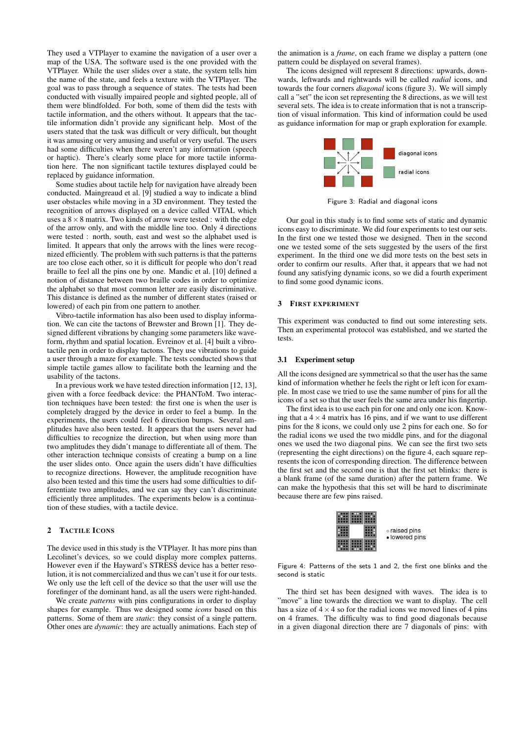They used a VTPlayer to examine the navigation of a user over a map of the USA. The software used is the one provided with the VTPlayer. While the user slides over a state, the system tells him the name of the state, and feels a texture with the VTPlayer. The goal was to pass through a sequence of states. The tests had been conducted with visually impaired people and sighted people, all of them were blindfolded. For both, some of them did the tests with tactile information, and the others without. It appears that the tactile information didn't provide any significant help. Most of the users stated that the task was difficult or very difficult, but thought it was amusing or very amusing and useful or very useful. The users had some difficulties when there weren't any information (speech or haptic). There's clearly some place for more tactile information here. The non significant tactile textures displayed could be replaced by guidance information.

Some studies about tactile help for navigation have already been conducted. Maingreaud et al. [9] studied a way to indicate a blind user obstacles while moving in a 3D environment. They tested the recognition of arrows displayed on a device called VITAL which uses a  $8 \times 8$  matrix. Two kinds of arrow were tested : with the edge of the arrow only, and with the middle line too. Only 4 directions were tested : north, south, east and west so the alphabet used is limited. It appears that only the arrows with the lines were recognized efficiently. The problem with such patterns is that the patterns are too close each other, so it is difficult for people who don't read braille to feel all the pins one by one. Mandic et al. [10] defined a notion of distance between two braille codes in order to optimize the alphabet so that most common letter are easily discriminative. This distance is defined as the number of different states (raised or lowered) of each pin from one pattern to another.

Vibro-tactile information has also been used to display information. We can cite the tactons of Brewster and Brown [1]. They designed different vibrations by changing some parameters like waveform, rhythm and spatial location. Evreinov et al. [4] built a vibrotactile pen in order to display tactons. They use vibrations to guide a user through a maze for example. The tests conducted shows that simple tactile games allow to facilitate both the learning and the usability of the tactons.

In a previous work we have tested direction information [12, 13], given with a force feedback device: the PHANToM. Two interaction techniques have been tested: the first one is when the user is completely dragged by the device in order to feel a bump. In the experiments, the users could feel 6 direction bumps. Several amplitudes have also been tested. It appears that the users never had difficulties to recognize the direction, but when using more than two amplitudes they didn't manage to differentiate all of them. The other interaction technique consists of creating a bump on a line the user slides onto. Once again the users didn't have difficulties to recognize directions. However, the amplitude recognition have also been tested and this time the users had some difficulties to differentiate two amplitudes, and we can say they can't discriminate efficiently three amplitudes. The experiments below is a continuation of these studies, with a tactile device.

### 2 TACTILE ICONS

The device used in this study is the VTPlayer. It has more pins than Lecolinet's devices, so we could display more complex patterns. However even if the Hayward's STRESS device has a better resolution, it is not commercialized and thus we can't use it for our tests. We only use the left cell of the device so that the user will use the forefinger of the dominant hand, as all the users were right-handed.

We create *patterns* with pins configurations in order to display shapes for example. Thus we designed some *icons* based on this patterns. Some of them are *static*: they consist of a single pattern. Other ones are *dynamic*: they are actually animations. Each step of the animation is a *frame*, on each frame we display a pattern (one pattern could be displayed on several frames).

The icons designed will represent 8 directions: upwards, downwards, leftwards and rightwards will be called *radial* icons, and towards the four corners *diagonal* icons (figure 3). We will simply call a "set" the icon set representing the 8 directions, as we will test several sets. The idea is to create information that is not a transcription of visual information. This kind of information could be used as guidance information for map or graph exploration for example.



Figure 3: Radial and diagonal icons

Our goal in this study is to find some sets of static and dynamic icons easy to discriminate. We did four experiments to test our sets. In the first one we tested those we designed. Then in the second one we tested some of the sets suggested by the users of the first experiment. In the third one we did more tests on the best sets in order to confirm our results. After that, it appears that we had not found any satisfying dynamic icons, so we did a fourth experiment to find some good dynamic icons.

#### 3 FIRST EXPERIMENT

This experiment was conducted to find out some interesting sets. Then an experimental protocol was established, and we started the tests.

#### 3.1 Experiment setup

All the icons designed are symmetrical so that the user has the same kind of information whether he feels the right or left icon for example. In most case we tried to use the same number of pins for all the icons of a set so that the user feels the same area under his fingertip.

The first idea is to use each pin for one and only one icon. Knowing that a  $4 \times 4$  matrix has 16 pins, and if we want to use different pins for the 8 icons, we could only use 2 pins for each one. So for the radial icons we used the two middle pins, and for the diagonal ones we used the two diagonal pins. We can see the first two sets (representing the eight directions) on the figure 4, each square represents the icon of corresponding direction. The difference between the first set and the second one is that the first set blinks: there is a blank frame (of the same duration) after the pattern frame. We can make the hypothesis that this set will be hard to discriminate because there are few pins raised.



Figure 4: Patterns of the sets 1 and 2, the first one blinks and the second is static

The third set has been designed with waves. The idea is to "move" a line towards the direction we want to display. The cell has a size of  $4 \times 4$  so for the radial icons we moved lines of 4 pins on 4 frames. The difficulty was to find good diagonals because in a given diagonal direction there are 7 diagonals of pins: with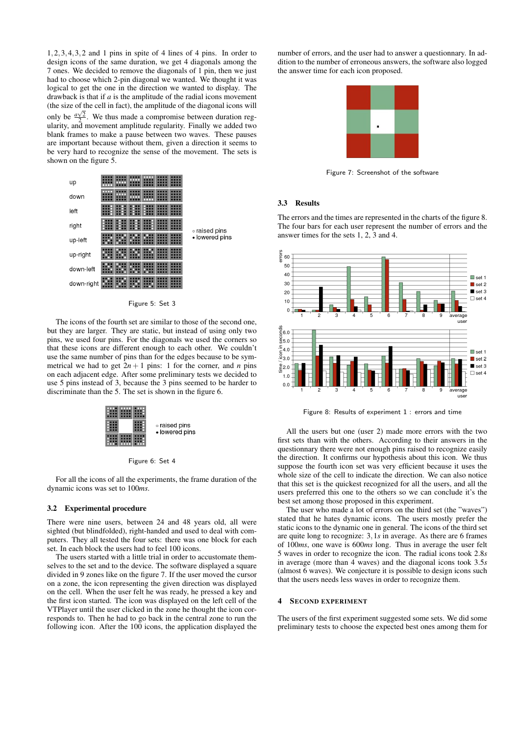1,2,3,4,3,2 and 1 pins in spite of 4 lines of 4 pins. In order to design icons of the same duration, we get 4 diagonals among the 7 ones. We decided to remove the diagonals of 1 pin, then we just had to choose which 2-pin diagonal we wanted. We thought it was logical to get the one in the direction we wanted to display. The drawback is that if *a* is the amplitude of the radial icons movement (the size of the cell in fact), the amplitude of the diagonal icons will only be  $\frac{a\sqrt{2}}{2}$ . We thus made a compromise between duration regularity, and movement amplitude regularity. Finally we added two blank frames to make a pause between two waves. These pauses are important because without them, given a direction it seems to be very hard to recognize the sense of the movement. The sets is shown on the figure 5.



The icons of the fourth set are similar to those of the second one, but they are larger. They are static, but instead of using only two pins, we used four pins. For the diagonals we used the corners so that these icons are different enough to each other. We couldn't use the same number of pins than for the edges because to be symmetrical we had to get  $2n + 1$  pins: 1 for the corner, and *n* pins on each adjacent edge. After some preliminary tests we decided to use 5 pins instead of 3, because the 3 pins seemed to be harder to discriminate than the 5. The set is shown in the figure 6.



Figure 6: Set 4

For all the icons of all the experiments, the frame duration of the dynamic icons was set to 100*ms*.

#### 3.2 Experimental procedure

There were nine users, between 24 and 48 years old, all were sighted (but blindfolded), right-handed and used to deal with computers. They all tested the four sets: there was one block for each set. In each block the users had to feel 100 icons.

The users started with a little trial in order to accustomate themselves to the set and to the device. The software displayed a square divided in 9 zones like on the figure 7. If the user moved the cursor on a zone, the icon representing the given direction was displayed on the cell. When the user felt he was ready, he pressed a key and the first icon started. The icon was displayed on the left cell of the VTPlayer until the user clicked in the zone he thought the icon corresponds to. Then he had to go back in the central zone to run the following icon. After the 100 icons, the application displayed the

number of errors, and the user had to answer a questionnary. In addition to the number of erroneous answers, the software also logged the answer time for each icon proposed.



Figure 7: Screenshot of the software

#### 3.3 Results

The errors and the times are represented in the charts of the figure 8. The four bars for each user represent the number of errors and the answer times for the sets 1, 2, 3 and 4.



Figure 8: Results of experiment 1 : errors and time

All the users but one (user 2) made more errors with the two first sets than with the others. According to their answers in the questionnary there were not enough pins raised to recognize easily the direction. It confirms our hypothesis about this icon. We thus suppose the fourth icon set was very efficient because it uses the whole size of the cell to indicate the direction. We can also notice that this set is the quickest recognized for all the users, and all the users preferred this one to the others so we can conclude it's the best set among those proposed in this experiment.

The user who made a lot of errors on the third set (the "waves") stated that he hates dynamic icons. The users mostly prefer the static icons to the dynamic one in general. The icons of the third set are quite long to recognize: 3,1*s* in average. As there are 6 frames of 100*ms*, one wave is 600*ms* long. Thus in average the user felt 5 waves in order to recognize the icon. The radial icons took 2.8*s* in average (more than 4 waves) and the diagonal icons took 3.5*s* (almost 6 waves). We conjecture it is possible to design icons such that the users needs less waves in order to recognize them.

#### 4 SECOND EXPERIMENT

The users of the first experiment suggested some sets. We did some preliminary tests to choose the expected best ones among them for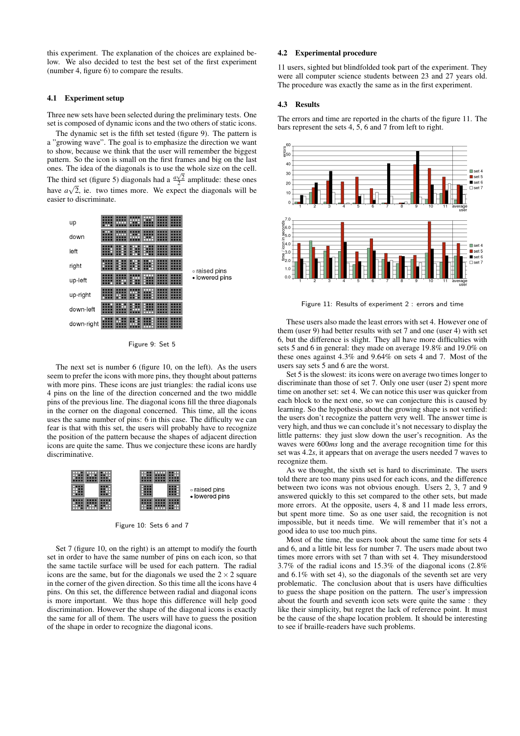this experiment. The explanation of the choices are explained below. We also decided to test the best set of the first experiment (number 4, figure 6) to compare the results.

#### 4.1 Experiment setup

Three new sets have been selected during the preliminary tests. One set is composed of dynamic icons and the two others of static icons.

The dynamic set is the fifth set tested (figure 9). The pattern is a "growing wave". The goal is to emphasize the direction we want to show, because we think that the user will remember the biggest pattern. So the icon is small on the first frames and big on the last ones. The idea of the diagonals is to use the whole size on the cell. The third set (figure 5) diagonals had a  $\frac{a\sqrt{2}}{2}$  amplitude: these ones have  $a\sqrt{2}$ , ie. two times more. We expect the diagonals will be easier to discriminate.



Figure 9: Set 5

The next set is number 6 (figure 10, on the left). As the users seem to prefer the icons with more pins, they thought about patterns with more pins. These icons are just triangles: the radial icons use 4 pins on the line of the direction concerned and the two middle pins of the previous line. The diagonal icons fill the three diagonals in the corner on the diagonal concerned. This time, all the icons uses the same number of pins: 6 in this case. The difficulty we can fear is that with this set, the users will probably have to recognize the position of the pattern because the shapes of adjacent direction icons are quite the same. Thus we conjecture these icons are hardly discriminative.



Figure 10: Sets 6 and 7

Set 7 (figure 10, on the right) is an attempt to modify the fourth set in order to have the same number of pins on each icon, so that the same tactile surface will be used for each pattern. The radial icons are the same, but for the diagonals we used the  $2 \times 2$  square in the corner of the given direction. So this time all the icons have 4 pins. On this set, the difference between radial and diagonal icons is more important. We thus hope this difference will help good discrimination. However the shape of the diagonal icons is exactly the same for all of them. The users will have to guess the position of the shape in order to recognize the diagonal icons.

#### 4.2 Experimental procedure

11 users, sighted but blindfolded took part of the experiment. They were all computer science students between 23 and 27 years old. The procedure was exactly the same as in the first experiment.

#### 4.3 Results

The errors and time are reported in the charts of the figure 11. The bars represent the sets 4, 5, 6 and 7 from left to right.



Figure 11: Results of experiment 2 : errors and time

These users also made the least errors with set 4. However one of them (user 9) had better results with set 7 and one (user 4) with set 6, but the difference is slight. They all have more difficulties with sets 5 and 6 in general: they made on average 19.8% and 19.0% on these ones against 4.3% and 9.64% on sets 4 and 7. Most of the users say sets 5 and 6 are the worst.

Set 5 is the slowest: its icons were on average two times longer to discriminate than those of set 7. Only one user (user 2) spent more time on another set: set 4. We can notice this user was quicker from each block to the next one, so we can conjecture this is caused by learning. So the hypothesis about the growing shape is not verified: the users don't recognize the pattern very well. The answer time is very high, and thus we can conclude it's not necessary to display the little patterns: they just slow down the user's recognition. As the waves were 600*ms* long and the average recognition time for this set was 4.2*s*, it appears that on average the users needed 7 waves to recognize them.

As we thought, the sixth set is hard to discriminate. The users told there are too many pins used for each icons, and the difference between two icons was not obvious enough. Users 2, 3, 7 and 9 answered quickly to this set compared to the other sets, but made more errors. At the opposite, users 4, 8 and 11 made less errors, but spent more time. So as one user said, the recognition is not impossible, but it needs time. We will remember that it's not a good idea to use too much pins.

Most of the time, the users took about the same time for sets 4 and 6, and a little bit less for number 7. The users made about two times more errors with set 7 than with set 4. They misunderstood 3.7% of the radial icons and 15.3% of the diagonal icons (2.8% and 6.1% with set 4), so the diagonals of the seventh set are very problematic. The conclusion about that is users have difficulties to guess the shape position on the pattern. The user's impression about the fourth and seventh icon sets were quite the same : they like their simplicity, but regret the lack of reference point. It must be the cause of the shape location problem. It should be interesting to see if braille-readers have such problems.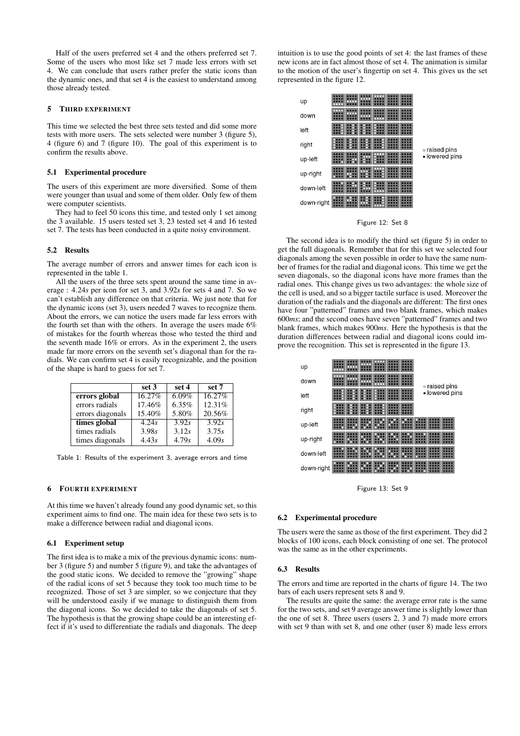Half of the users preferred set 4 and the others preferred set 7. Some of the users who most like set 7 made less errors with set 4. We can conclude that users rather prefer the static icons than the dynamic ones, and that set 4 is the easiest to understand among those already tested.

### 5 THIRD EXPERIMENT

This time we selected the best three sets tested and did some more tests with more users. The sets selected were number 3 (figure 5), 4 (figure 6) and 7 (figure 10). The goal of this experiment is to confirm the results above.

#### 5.1 Experimental procedure

The users of this experiment are more diversified. Some of them were younger than usual and some of them older. Only few of them were computer scientists.

They had to feel 50 icons this time, and tested only 1 set among the 3 available. 15 users tested set 3, 23 tested set 4 and 16 tested set 7. The tests has been conducted in a quite noisy environment.

#### 5.2 Results

The average number of errors and answer times for each icon is represented in the table 1.

All the users of the three sets spent around the same time in average : 4.24*s* per icon for set 3, and 3.92*s* for sets 4 and 7. So we can't establish any difference on that criteria. We just note that for the dynamic icons (set 3), users needed 7 waves to recognize them. About the errors, we can notice the users made far less errors with the fourth set than with the others. In average the users made 6% of mistakes for the fourth whereas those who tested the third and the seventh made 16% or errors. As in the experiment 2, the users made far more errors on the seventh set's diagonal than for the radials. We can confirm set 4 is easily recognizable, and the position of the shape is hard to guess for set 7.

|                  | set 3  | set 4 | set 7              |
|------------------|--------|-------|--------------------|
| errors global    | 16.27% | 6.09% | 16.27%             |
| errors radials   | 17.46% | 6.35% | 12.31%             |
| errors diagonals | 15.40% | 5.80% | 20.56%             |
| times global     | 4.24s  | 3.92s | $\overline{3.92s}$ |
| times radials    | 3.98s  | 3.12s | 3.75s              |
| times diagonals  | 4.43s  | 4.79s | 4.09s              |

Table 1: Results of the experiment 3, average errors and time

#### 6 FOURTH EXPERIMENT

At this time we haven't already found any good dynamic set, so this experiment aims to find one. The main idea for these two sets is to make a difference between radial and diagonal icons.

#### 6.1 Experiment setup

The first idea is to make a mix of the previous dynamic icons: number 3 (figure 5) and number 5 (figure 9), and take the advantages of the good static icons. We decided to remove the "growing" shape of the radial icons of set 5 because they took too much time to be recognized. Those of set 3 are simpler, so we conjecture that they will be understood easily if we manage to distinguish them from the diagonal icons. So we decided to take the diagonals of set 5. The hypothesis is that the growing shape could be an interesting effect if it's used to differentiate the radials and diagonals. The deep

intuition is to use the good points of set 4: the last frames of these new icons are in fact almost those of set 4. The animation is similar to the motion of the user's fingertip on set 4. This gives us the set represented in the figure 12.



Figure 12: Set 8

The second idea is to modify the third set (figure 5) in order to get the full diagonals. Remember that for this set we selected four diagonals among the seven possible in order to have the same number of frames for the radial and diagonal icons. This time we get the seven diagonals, so the diagonal icons have more frames than the radial ones. This change gives us two advantages: the whole size of the cell is used, and so a bigger tactile surface is used. Moreover the duration of the radials and the diagonals are different: The first ones have four "patterned" frames and two blank frames, which makes 600*ms*; and the second ones have seven "patterned" frames and two blank frames, which makes 900*ms*. Here the hypothesis is that the duration differences between radial and diagonal icons could improve the recognition. This set is represented in the figure 13.

| up         |  |  |  |                                 |  |  |  |
|------------|--|--|--|---------------------------------|--|--|--|
| down       |  |  |  |                                 |  |  |  |
| left       |  |  |  | o raised pins<br>· lowered pins |  |  |  |
| right      |  |  |  |                                 |  |  |  |
| up-left    |  |  |  |                                 |  |  |  |
| up-right   |  |  |  |                                 |  |  |  |
| down-left  |  |  |  |                                 |  |  |  |
| down-right |  |  |  |                                 |  |  |  |
|            |  |  |  |                                 |  |  |  |

Figure 13: Set 9

#### 6.2 Experimental procedure

The users were the same as those of the first experiment. They did 2 blocks of 100 icons, each block consisting of one set. The protocol was the same as in the other experiments.

## 6.3 Results

The errors and time are reported in the charts of figure 14. The two bars of each users represent sets 8 and 9.

The results are quite the same: the average error rate is the same for the two sets, and set 9 average answer time is slightly lower than the one of set 8. Three users (users 2, 3 and 7) made more errors with set 9 than with set 8, and one other (user 8) made less errors